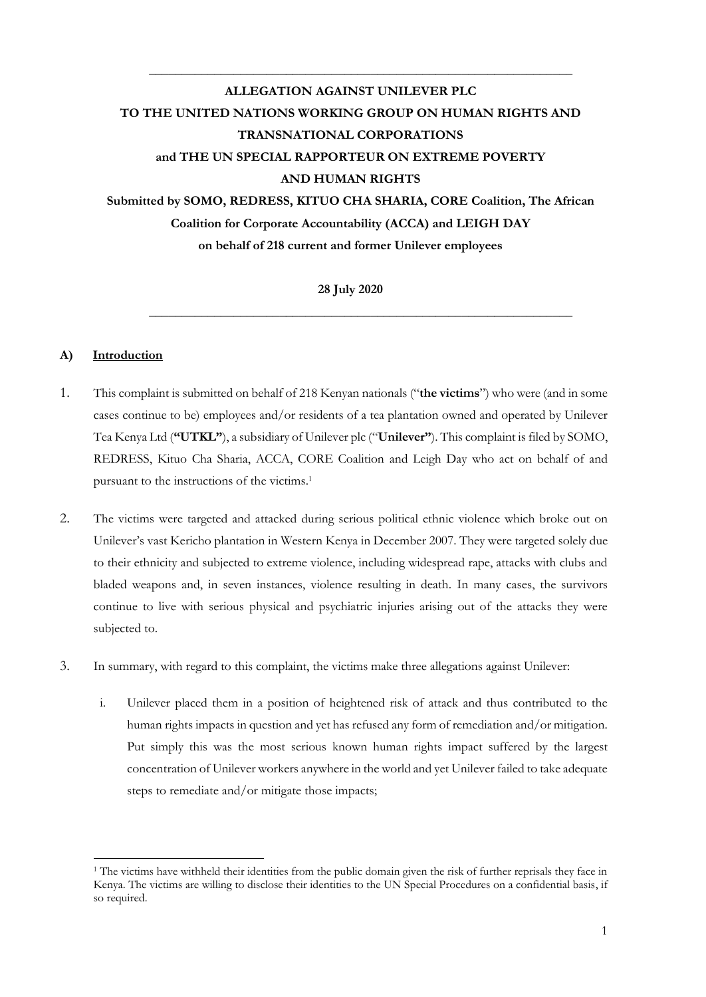# **ALLEGATION AGAINST UNILEVER PLC TO THE UNITED NATIONS WORKING GROUP ON HUMAN RIGHTS AND TRANSNATIONAL CORPORATIONS and THE UN SPECIAL RAPPORTEUR ON EXTREME POVERTY AND HUMAN RIGHTS Submitted by SOMO, REDRESS, KITUO CHA SHARIA, CORE Coalition, The African Coalition for Corporate Accountability (ACCA) and LEIGH DAY on behalf of 218 current and former Unilever employees**

**\_\_\_\_\_\_\_\_\_\_\_\_\_\_\_\_\_\_\_\_\_\_\_\_\_\_\_\_\_\_\_\_\_\_\_\_\_\_\_\_\_\_\_\_\_\_\_\_\_\_\_\_\_\_\_\_\_\_\_\_\_\_\_\_\_**

**28 July 2020**

**\_\_\_\_\_\_\_\_\_\_\_\_\_\_\_\_\_\_\_\_\_\_\_\_\_\_\_\_\_\_\_\_\_\_\_\_\_\_\_\_\_\_\_\_\_\_\_\_\_\_\_\_\_\_\_\_\_\_\_\_\_\_\_\_\_**

# **A) Introduction**

- 1. This complaint is submitted on behalf of 218 Kenyan nationals ("**the victims**") who were (and in some cases continue to be) employees and/or residents of a tea plantation owned and operated by Unilever Tea Kenya Ltd (**"UTKL"**), a subsidiary of Unilever plc ("**Unilever"**). This complaint is filed by SOMO, REDRESS, Kituo Cha Sharia, ACCA, CORE Coalition and Leigh Day who act on behalf of and pursuant to the instructions of the victims.<sup>1</sup>
- 2. The victims were targeted and attacked during serious political ethnic violence which broke out on Unilever's vast Kericho plantation in Western Kenya in December 2007. They were targeted solely due to their ethnicity and subjected to extreme violence, including widespread rape, attacks with clubs and bladed weapons and, in seven instances, violence resulting in death. In many cases, the survivors continue to live with serious physical and psychiatric injuries arising out of the attacks they were subjected to.
- 3. In summary, with regard to this complaint, the victims make three allegations against Unilever:
	- i. Unilever placed them in a position of heightened risk of attack and thus contributed to the human rights impacts in question and yet has refused any form of remediation and/or mitigation. Put simply this was the most serious known human rights impact suffered by the largest concentration of Unilever workers anywhere in the world and yet Unilever failed to take adequate steps to remediate and/or mitigate those impacts;

<sup>&</sup>lt;sup>1</sup> The victims have withheld their identities from the public domain given the risk of further reprisals they face in Kenya. The victims are willing to disclose their identities to the UN Special Procedures on a confidential basis, if so required.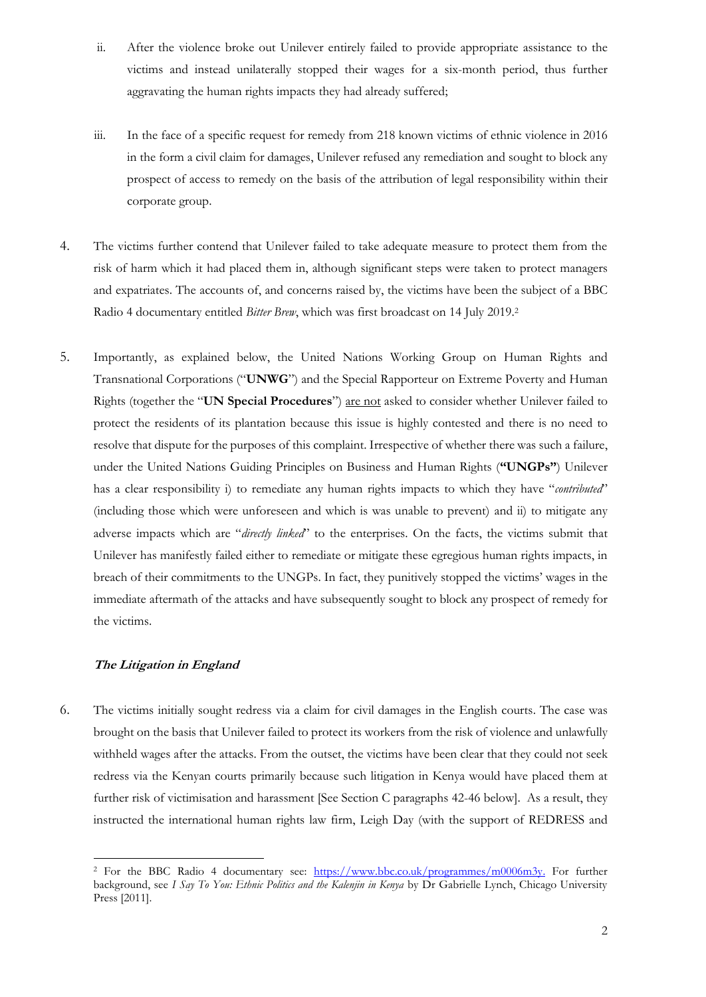- ii. After the violence broke out Unilever entirely failed to provide appropriate assistance to the victims and instead unilaterally stopped their wages for a six-month period, thus further aggravating the human rights impacts they had already suffered;
- iii. In the face of a specific request for remedy from 218 known victims of ethnic violence in 2016 in the form a civil claim for damages, Unilever refused any remediation and sought to block any prospect of access to remedy on the basis of the attribution of legal responsibility within their corporate group.
- 4. The victims further contend that Unilever failed to take adequate measure to protect them from the risk of harm which it had placed them in, although significant steps were taken to protect managers and expatriates. The accounts of, and concerns raised by, the victims have been the subject of a BBC Radio 4 documentary entitled *Bitter Brew*, which was first broadcast on 14 July 2019.<sup>2</sup>
- 5. Importantly, as explained below, the United Nations Working Group on Human Rights and Transnational Corporations ("**UNWG**") and the Special Rapporteur on Extreme Poverty and Human Rights (together the "**UN Special Procedures**") are not asked to consider whether Unilever failed to protect the residents of its plantation because this issue is highly contested and there is no need to resolve that dispute for the purposes of this complaint. Irrespective of whether there was such a failure, under the United Nations Guiding Principles on Business and Human Rights (**"UNGPs"**) Unilever has a clear responsibility i) to remediate any human rights impacts to which they have "*contributed*" (including those which were unforeseen and which is was unable to prevent) and ii) to mitigate any adverse impacts which are "*directly linked*" to the enterprises. On the facts, the victims submit that Unilever has manifestly failed either to remediate or mitigate these egregious human rights impacts, in breach of their commitments to the UNGPs. In fact, they punitively stopped the victims' wages in the immediate aftermath of the attacks and have subsequently sought to block any prospect of remedy for the victims.

## **The Litigation in England**

6. The victims initially sought redress via a claim for civil damages in the English courts. The case was brought on the basis that Unilever failed to protect its workers from the risk of violence and unlawfully withheld wages after the attacks. From the outset, the victims have been clear that they could not seek redress via the Kenyan courts primarily because such litigation in Kenya would have placed them at further risk of victimisation and harassment [See Section C paragraphs 42-46 below]. As a result, they instructed the international human rights law firm, Leigh Day (with the support of REDRESS and

<sup>&</sup>lt;sup>2</sup> For the BBC Radio 4 documentary see: https://www.bbc.co.uk/programmes/m0006m3y. For further background, see *I Say To You: Ethnic Politics and the Kalenjin in Kenya* by Dr Gabrielle Lynch, Chicago University Press [2011].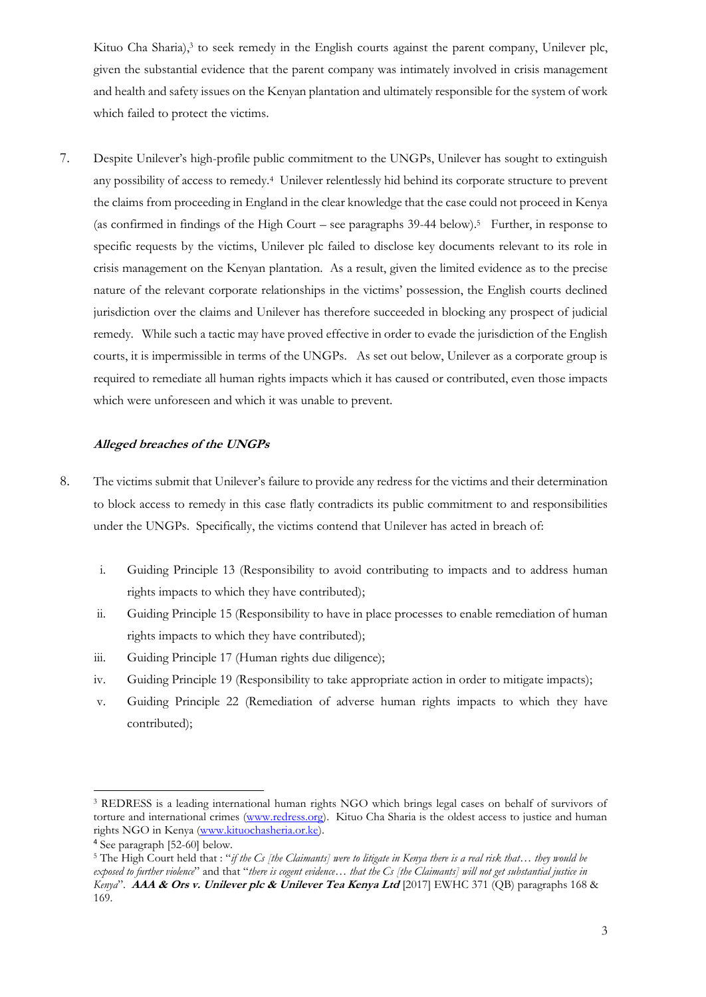Kituo Cha Sharia), 3 to seek remedy in the English courts against the parent company, Unilever plc, given the substantial evidence that the parent company was intimately involved in crisis management and health and safety issues on the Kenyan plantation and ultimately responsible for the system of work which failed to protect the victims.

7. Despite Unilever's high-profile public commitment to the UNGPs, Unilever has sought to extinguish any possibility of access to remedy.<sup>4</sup> Unilever relentlessly hid behind its corporate structure to prevent the claims from proceeding in England in the clear knowledge that the case could not proceed in Kenya (as confirmed in findings of the High Court – see paragraphs 39-44 below).<sup>5</sup> Further, in response to specific requests by the victims, Unilever plc failed to disclose key documents relevant to its role in crisis management on the Kenyan plantation. As a result, given the limited evidence as to the precise nature of the relevant corporate relationships in the victims' possession, the English courts declined jurisdiction over the claims and Unilever has therefore succeeded in blocking any prospect of judicial remedy. While such a tactic may have proved effective in order to evade the jurisdiction of the English courts, it is impermissible in terms of the UNGPs. As set out below, Unilever as a corporate group is required to remediate all human rights impacts which it has caused or contributed, even those impacts which were unforeseen and which it was unable to prevent.

#### **Alleged breaches of the UNGPs**

- 8. The victims submit that Unilever's failure to provide any redress for the victims and their determination to block access to remedy in this case flatly contradicts its public commitment to and responsibilities under the UNGPs. Specifically, the victims contend that Unilever has acted in breach of:
	- i. Guiding Principle 13 (Responsibility to avoid contributing to impacts and to address human rights impacts to which they have contributed);
	- ii. Guiding Principle 15 (Responsibility to have in place processes to enable remediation of human rights impacts to which they have contributed);
	- iii. Guiding Principle 17 (Human rights due diligence);
	- iv. Guiding Principle 19 (Responsibility to take appropriate action in order to mitigate impacts);
	- v. Guiding Principle 22 (Remediation of adverse human rights impacts to which they have contributed);

<sup>3</sup> REDRESS is a leading international human rights NGO which brings legal cases on behalf of survivors of torture and international crimes [\(www.redress.org\)](http://www.redress.org/). Kituo Cha Sharia is the oldest access to justice and human rights NGO in Kenya [\(www.kituochasheria.or.ke\)](http://www.kituochasheria.or.ke/).

<sup>4</sup> See paragraph [52-60] below.

<sup>5</sup> The High Court held that : "*if the Cs [the Claimants] were to litigate in Kenya there is a real risk that… they would be exposed to further violence*" and that "*there is cogent evidence… that the Cs [the Claimants] will not get substantial justice in Kenya*". **AAA & Ors v. Unilever plc & Unilever Tea Kenya Ltd** [2017] EWHC 371 (QB) paragraphs 168 & 169.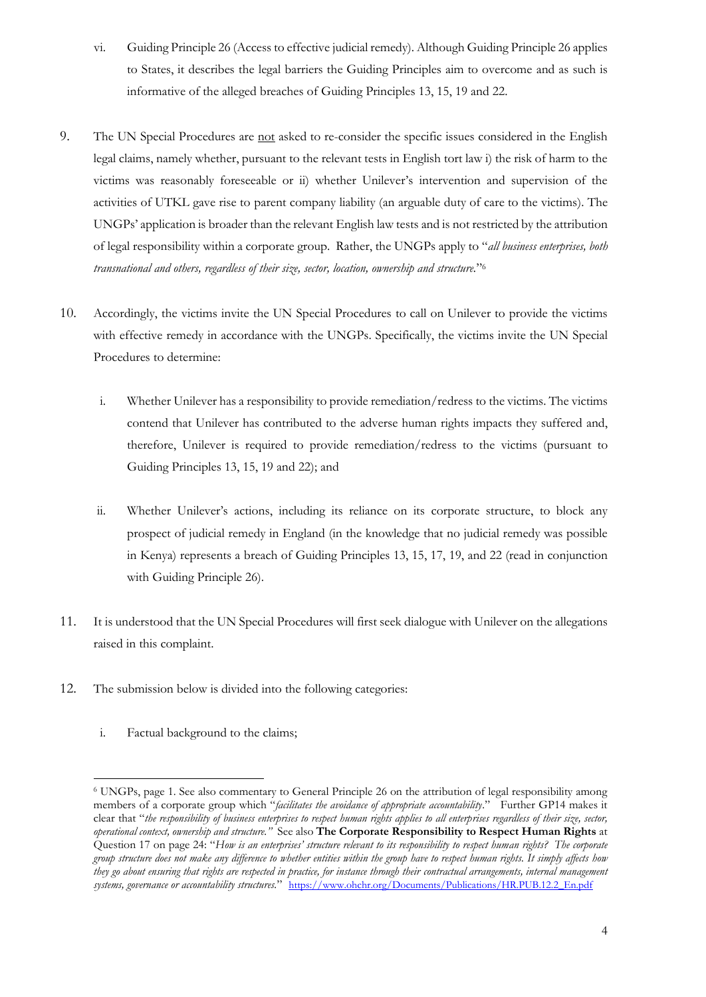- vi. Guiding Principle 26 (Access to effective judicial remedy). Although Guiding Principle 26 applies to States, it describes the legal barriers the Guiding Principles aim to overcome and as such is informative of the alleged breaches of Guiding Principles 13, 15, 19 and 22.
- 9. The UN Special Procedures are not asked to re-consider the specific issues considered in the English legal claims, namely whether, pursuant to the relevant tests in English tort law i) the risk of harm to the victims was reasonably foreseeable or ii) whether Unilever's intervention and supervision of the activities of UTKL gave rise to parent company liability (an arguable duty of care to the victims). The UNGPs' application is broader than the relevant English law tests and is not restricted by the attribution of legal responsibility within a corporate group. Rather, the UNGPs apply to "*all business enterprises, both transnational and others, regardless of their size, sector, location, ownership and structure.*" 6
- 10. Accordingly, the victims invite the UN Special Procedures to call on Unilever to provide the victims with effective remedy in accordance with the UNGPs. Specifically, the victims invite the UN Special Procedures to determine:
	- i. Whether Unilever has a responsibility to provide remediation/redress to the victims. The victims contend that Unilever has contributed to the adverse human rights impacts they suffered and, therefore, Unilever is required to provide remediation/redress to the victims (pursuant to Guiding Principles 13, 15, 19 and 22); and
	- ii. Whether Unilever's actions, including its reliance on its corporate structure, to block any prospect of judicial remedy in England (in the knowledge that no judicial remedy was possible in Kenya) represents a breach of Guiding Principles 13, 15, 17, 19, and 22 (read in conjunction with Guiding Principle 26).
- 11. It is understood that the UN Special Procedures will first seek dialogue with Unilever on the allegations raised in this complaint.
- 12. The submission below is divided into the following categories:
	- i. Factual background to the claims;

<sup>6</sup> UNGPs, page 1. See also commentary to General Principle 26 on the attribution of legal responsibility among members of a corporate group which "*facilitates the avoidance of appropriate accountability*." Further GP14 makes it clear that "*the responsibility of business enterprises to respect human rights applies to all enterprises regardless of their size, sector, operational context, ownership and structure."* See also **The Corporate Responsibility to Respect Human Rights** at Question 17 on page 24: "*How is an enterprises' structure relevant to its responsibility to respect human rights? The corporate group structure does not make any difference to whether entities within the group have to respect human rights. It simply affects how they go about ensuring that rights are respected in practice, for instance through their contractual arrangements, internal management systems, governance or accountability structures.*" https://www.ohchr.org/Documents/Publications/HR.PUB.12.2\_En.pdf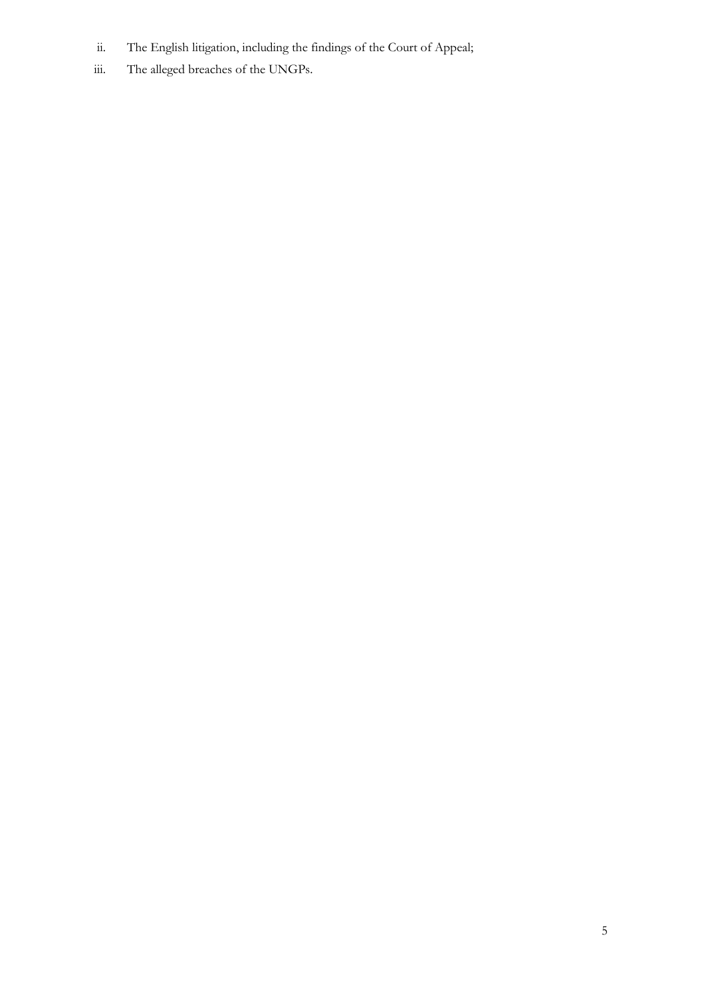- ii. The English litigation, including the findings of the Court of Appeal;
- iii. The alleged breaches of the UNGPs.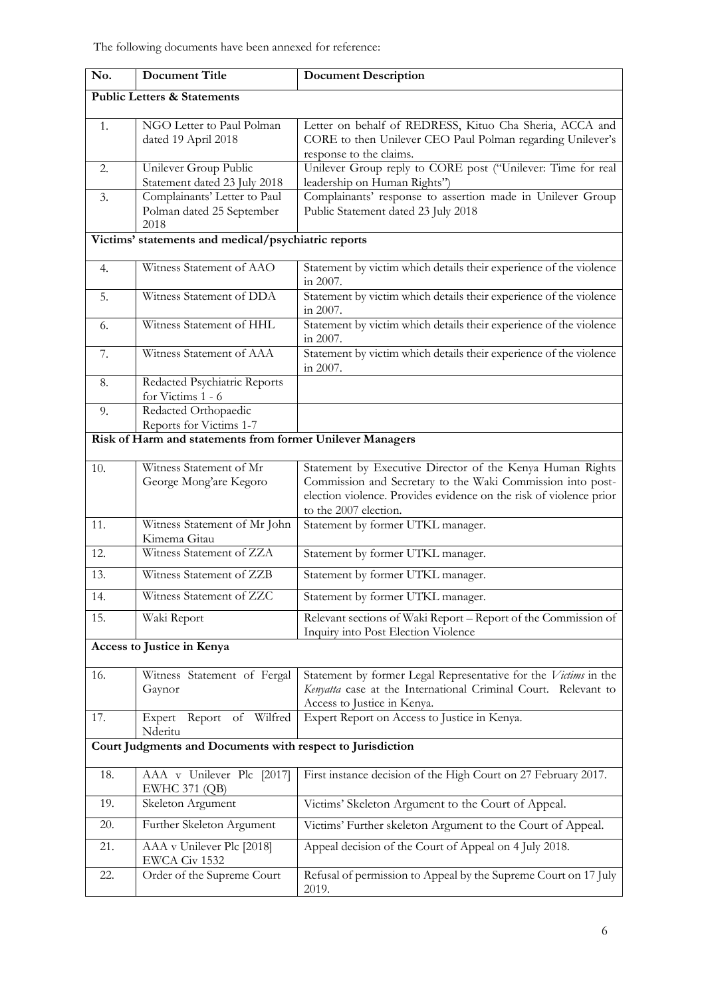| No.                                                        | <b>Document Title</b>                                             | <b>Document Description</b>                                                                                                                                                                                            |
|------------------------------------------------------------|-------------------------------------------------------------------|------------------------------------------------------------------------------------------------------------------------------------------------------------------------------------------------------------------------|
| <b>Public Letters &amp; Statements</b>                     |                                                                   |                                                                                                                                                                                                                        |
| 1.                                                         | NGO Letter to Paul Polman<br>dated 19 April 2018                  | Letter on behalf of REDRESS, Kituo Cha Sheria, ACCA and<br>CORE to then Unilever CEO Paul Polman regarding Unilever's<br>response to the claims.                                                                       |
| 2.                                                         | Unilever Group Public<br>Statement dated 23 July 2018             | Unilever Group reply to CORE post ("Unilever: Time for real<br>leadership on Human Rights")                                                                                                                            |
| 3.                                                         | Complainants' Letter to Paul<br>Polman dated 25 September<br>2018 | Complainants' response to assertion made in Unilever Group<br>Public Statement dated 23 July 2018                                                                                                                      |
| Victims' statements and medical/psychiatric reports        |                                                                   |                                                                                                                                                                                                                        |
| 4.                                                         | Witness Statement of AAO                                          | Statement by victim which details their experience of the violence<br>in 2007.                                                                                                                                         |
| 5.                                                         | Witness Statement of DDA                                          | Statement by victim which details their experience of the violence<br>in 2007.                                                                                                                                         |
| 6.                                                         | Witness Statement of HHL                                          | Statement by victim which details their experience of the violence<br>in 2007.                                                                                                                                         |
| 7.                                                         | Witness Statement of AAA                                          | Statement by victim which details their experience of the violence<br>in 2007.                                                                                                                                         |
| 8.                                                         | Redacted Psychiatric Reports<br>for Victims 1 - 6                 |                                                                                                                                                                                                                        |
| 9.                                                         | Redacted Orthopaedic<br>Reports for Victims 1-7                   |                                                                                                                                                                                                                        |
| Risk of Harm and statements from former Unilever Managers  |                                                                   |                                                                                                                                                                                                                        |
| 10.                                                        | Witness Statement of Mr<br>George Mong'are Kegoro                 | Statement by Executive Director of the Kenya Human Rights<br>Commission and Secretary to the Waki Commission into post-<br>election violence. Provides evidence on the risk of violence prior<br>to the 2007 election. |
| 11.                                                        | Witness Statement of Mr John<br>Kimema Gitau                      | Statement by former UTKL manager.                                                                                                                                                                                      |
| 12.                                                        | Witness Statement of ZZA                                          | Statement by former UTKL manager.                                                                                                                                                                                      |
| 13.                                                        | Witness Statement of ZZB                                          | Statement by former UTKL manager.                                                                                                                                                                                      |
| 14.                                                        | Witness Statement of ZZC                                          | Statement by former UTKL manager.                                                                                                                                                                                      |
| 15.                                                        | Waki Report                                                       | Relevant sections of Waki Report - Report of the Commission of<br>Inquiry into Post Election Violence                                                                                                                  |
| Access to Justice in Kenya                                 |                                                                   |                                                                                                                                                                                                                        |
| 16.                                                        | Witness Statement of Fergal<br>Gaynor                             | Statement by former Legal Representative for the Victims in the<br>Kenyatta case at the International Criminal Court. Relevant to<br>Access to Justice in Kenya.                                                       |
| 17.                                                        | Report of Wilfred<br>Expert<br>Nderitu                            | Expert Report on Access to Justice in Kenya.                                                                                                                                                                           |
| Court Judgments and Documents with respect to Jurisdiction |                                                                   |                                                                                                                                                                                                                        |
| 18.                                                        | AAA v Unilever Plc [2017]<br><b>EWHC 371 (QB)</b>                 | First instance decision of the High Court on 27 February 2017.                                                                                                                                                         |
| 19.                                                        | Skeleton Argument                                                 | Victims' Skeleton Argument to the Court of Appeal.                                                                                                                                                                     |
| 20.                                                        | Further Skeleton Argument                                         | Victims' Further skeleton Argument to the Court of Appeal.                                                                                                                                                             |
| 21.                                                        | AAA v Unilever Plc [2018]<br>EWCA Civ 1532                        | Appeal decision of the Court of Appeal on 4 July 2018.                                                                                                                                                                 |
| 22.                                                        | Order of the Supreme Court                                        | Refusal of permission to Appeal by the Supreme Court on 17 July<br>2019.                                                                                                                                               |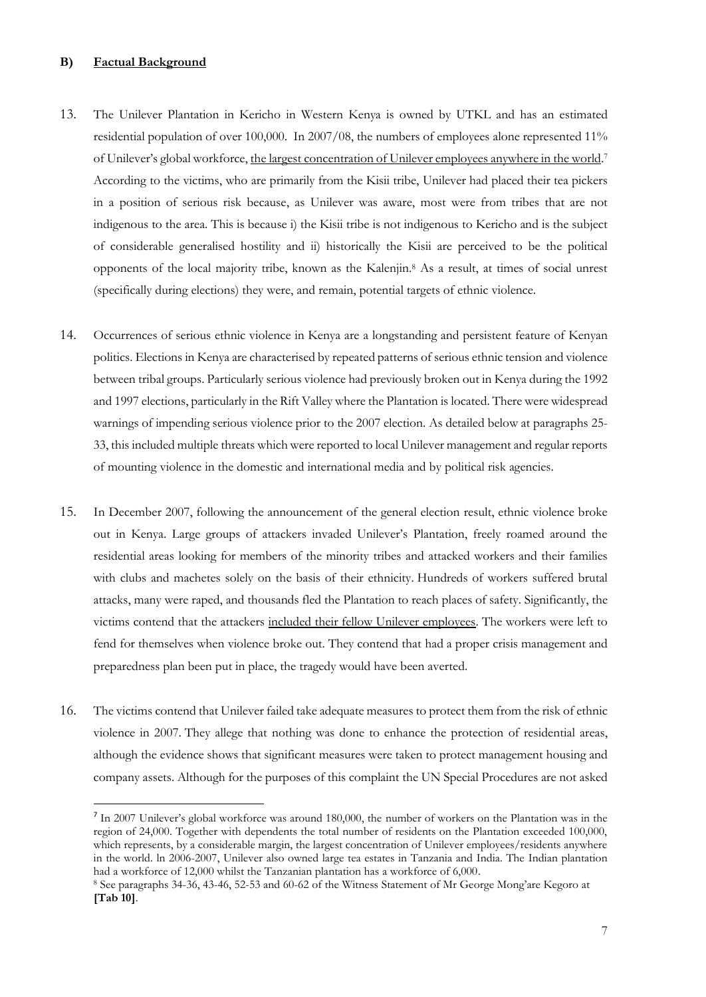## **B) Factual Background**

- 13. The Unilever Plantation in Kericho in Western Kenya is owned by UTKL and has an estimated residential population of over 100,000. In 2007/08, the numbers of employees alone represented 11% of Unilever's global workforce, the largest concentration of Unilever employees anywhere in the world.<sup>7</sup> According to the victims, who are primarily from the Kisii tribe, Unilever had placed their tea pickers in a position of serious risk because, as Unilever was aware, most were from tribes that are not indigenous to the area. This is because i) the Kisii tribe is not indigenous to Kericho and is the subject of considerable generalised hostility and ii) historically the Kisii are perceived to be the political opponents of the local majority tribe, known as the Kalenjin.<sup>8</sup> As a result, at times of social unrest (specifically during elections) they were, and remain, potential targets of ethnic violence.
- 14. Occurrences of serious ethnic violence in Kenya are a longstanding and persistent feature of Kenyan politics. Elections in Kenya are characterised by repeated patterns of serious ethnic tension and violence between tribal groups. Particularly serious violence had previously broken out in Kenya during the 1992 and 1997 elections, particularly in the Rift Valley where the Plantation is located. There were widespread warnings of impending serious violence prior to the 2007 election. As detailed below at paragraphs 25- 33, this included multiple threats which were reported to local Unilever management and regular reports of mounting violence in the domestic and international media and by political risk agencies.
- 15. In December 2007, following the announcement of the general election result, ethnic violence broke out in Kenya. Large groups of attackers invaded Unilever's Plantation, freely roamed around the residential areas looking for members of the minority tribes and attacked workers and their families with clubs and machetes solely on the basis of their ethnicity. Hundreds of workers suffered brutal attacks, many were raped, and thousands fled the Plantation to reach places of safety. Significantly, the victims contend that the attackers included their fellow Unilever employees. The workers were left to fend for themselves when violence broke out. They contend that had a proper crisis management and preparedness plan been put in place, the tragedy would have been averted.
- 16. The victims contend that Unilever failed take adequate measures to protect them from the risk of ethnic violence in 2007. They allege that nothing was done to enhance the protection of residential areas, although the evidence shows that significant measures were taken to protect management housing and company assets. Although for the purposes of this complaint the UN Special Procedures are not asked

<sup>7</sup> In 2007 Unilever's global workforce was around 180,000, the number of workers on the Plantation was in the region of 24,000. Together with dependents the total number of residents on the Plantation exceeded 100,000, which represents, by a considerable margin, the largest concentration of Unilever employees/residents anywhere in the world. ln 2006-2007, Unilever also owned large tea estates in Tanzania and India. The Indian plantation had a workforce of 12,000 whilst the Tanzanian plantation has a workforce of 6,000.

<sup>8</sup> See paragraphs 34-36, 43-46, 52-53 and 60-62 of the Witness Statement of Mr George Mong'are Kegoro at **[Tab 10]**.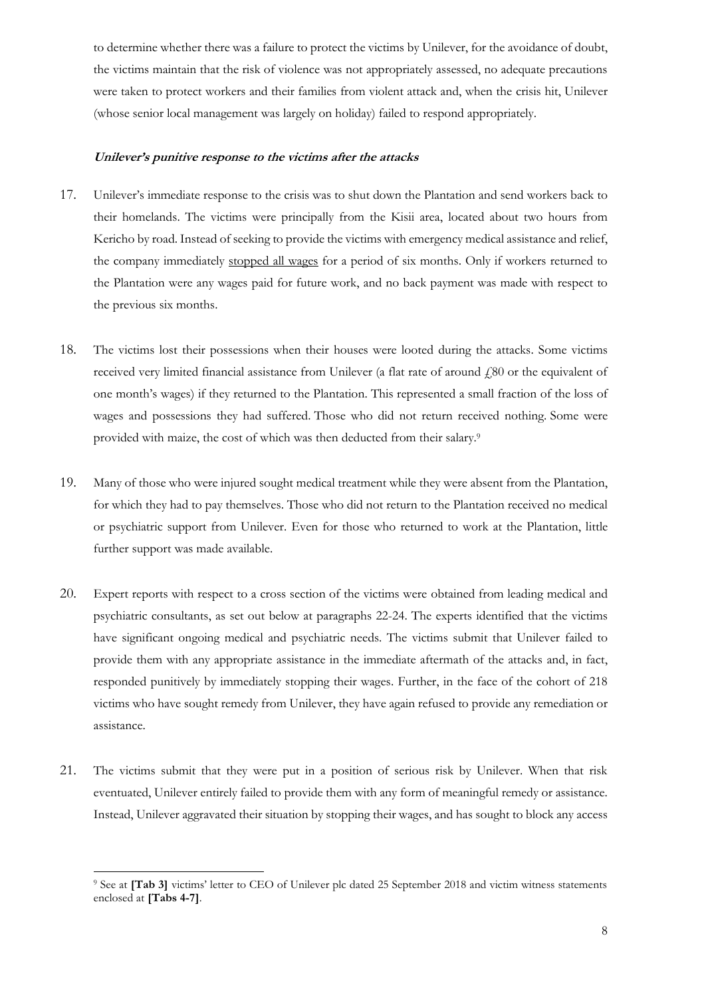to determine whether there was a failure to protect the victims by Unilever, for the avoidance of doubt, the victims maintain that the risk of violence was not appropriately assessed, no adequate precautions were taken to protect workers and their families from violent attack and, when the crisis hit, Unilever (whose senior local management was largely on holiday) failed to respond appropriately.

#### **Unilever's punitive response to the victims after the attacks**

- 17. Unilever's immediate response to the crisis was to shut down the Plantation and send workers back to their homelands. The victims were principally from the Kisii area, located about two hours from Kericho by road. Instead of seeking to provide the victims with emergency medical assistance and relief, the company immediately stopped all wages for a period of six months. Only if workers returned to the Plantation were any wages paid for future work, and no back payment was made with respect to the previous six months.
- 18. The victims lost their possessions when their houses were looted during the attacks. Some victims received very limited financial assistance from Unilever (a flat rate of around £80 or the equivalent of one month's wages) if they returned to the Plantation. This represented a small fraction of the loss of wages and possessions they had suffered. Those who did not return received nothing. Some were provided with maize, the cost of which was then deducted from their salary.<sup>9</sup>
- 19. Many of those who were injured sought medical treatment while they were absent from the Plantation, for which they had to pay themselves. Those who did not return to the Plantation received no medical or psychiatric support from Unilever. Even for those who returned to work at the Plantation, little further support was made available.
- 20. Expert reports with respect to a cross section of the victims were obtained from leading medical and psychiatric consultants, as set out below at paragraphs 22-24. The experts identified that the victims have significant ongoing medical and psychiatric needs. The victims submit that Unilever failed to provide them with any appropriate assistance in the immediate aftermath of the attacks and, in fact, responded punitively by immediately stopping their wages. Further, in the face of the cohort of 218 victims who have sought remedy from Unilever, they have again refused to provide any remediation or assistance.
- 21. The victims submit that they were put in a position of serious risk by Unilever. When that risk eventuated, Unilever entirely failed to provide them with any form of meaningful remedy or assistance. Instead, Unilever aggravated their situation by stopping their wages, and has sought to block any access

<sup>&</sup>lt;sup>9</sup> See at [Tab 3] victims' letter to CEO of Unilever plc dated 25 September 2018 and victim witness statements enclosed at **[Tabs 4-7]**.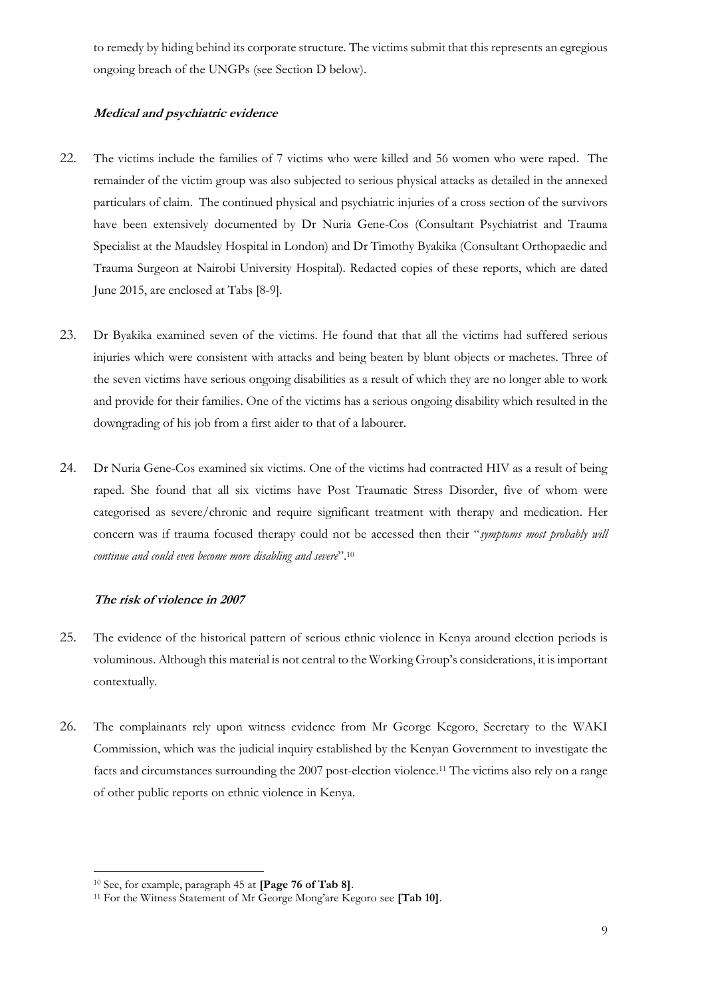to remedy by hiding behind its corporate structure. The victims submit that this represents an egregious ongoing breach of the UNGPs (see Section D below).

# **Medical and psychiatric evidence**

- 22. The victims include the families of 7 victims who were killed and 56 women who were raped. The remainder of the victim group was also subjected to serious physical attacks as detailed in the annexed particulars of claim. The continued physical and psychiatric injuries of a cross section of the survivors have been extensively documented by Dr Nuria Gene-Cos (Consultant Psychiatrist and Trauma Specialist at the Maudsley Hospital in London) and Dr Timothy Byakika (Consultant Orthopaedic and Trauma Surgeon at Nairobi University Hospital). Redacted copies of these reports, which are dated June 2015, are enclosed at Tabs [8-9].
- 23. Dr Byakika examined seven of the victims. He found that that all the victims had suffered serious injuries which were consistent with attacks and being beaten by blunt objects or machetes. Three of the seven victims have serious ongoing disabilities as a result of which they are no longer able to work and provide for their families. One of the victims has a serious ongoing disability which resulted in the downgrading of his job from a first aider to that of a labourer.
- 24. Dr Nuria Gene-Cos examined six victims. One of the victims had contracted HIV as a result of being raped. She found that all six victims have Post Traumatic Stress Disorder, five of whom were categorised as severe/chronic and require significant treatment with therapy and medication. Her concern was if trauma focused therapy could not be accessed then their "*symptoms most probably will continue and could even become more disabling and severe*".<sup>10</sup>

# **The risk of violence in 2007**

- 25. The evidence of the historical pattern of serious ethnic violence in Kenya around election periods is voluminous. Although this material is not central to the Working Group's considerations, it is important contextually.
- 26. The complainants rely upon witness evidence from Mr George Kegoro, Secretary to the WAKI Commission, which was the judicial inquiry established by the Kenyan Government to investigate the facts and circumstances surrounding the 2007 post-election violence.<sup>11</sup> The victims also rely on a range of other public reports on ethnic violence in Kenya.

<sup>10</sup> See, for example, paragraph 45 at **[Page 76 of Tab 8]**.

<sup>11</sup> For the Witness Statement of Mr George Mong'are Kegoro see **[Tab 10]**.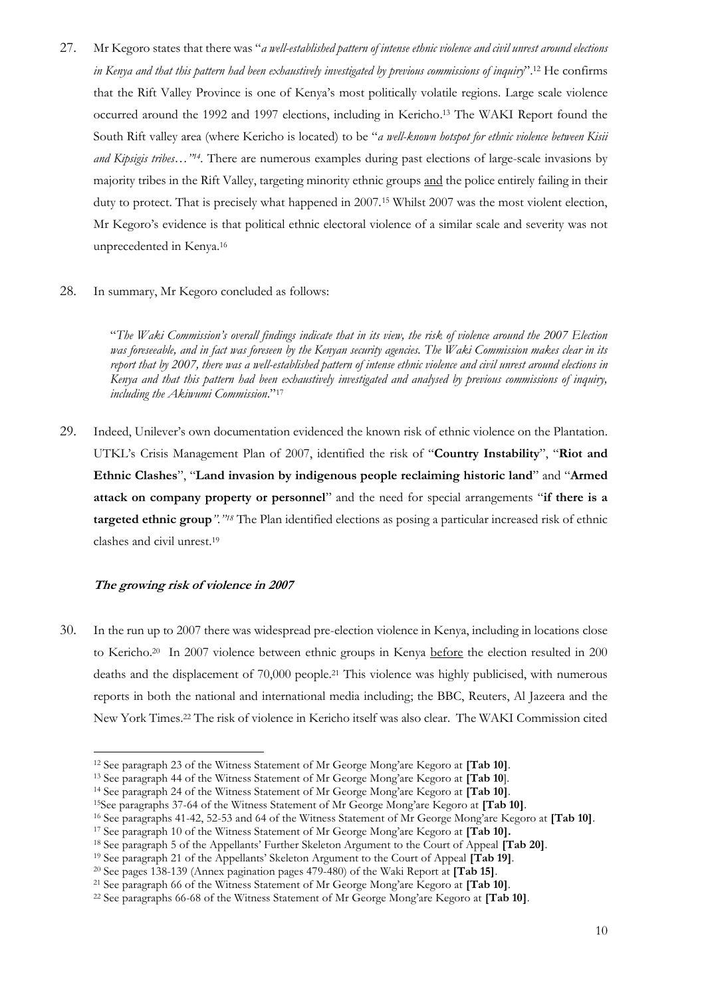27. Mr Kegoro states that there was "*a well-established pattern of intense ethnic violence and civil unrest around elections in Kenya and that this pattern had been exhaustively investigated by previous commissions of inquiry*".<sup>12</sup> He confirms that the Rift Valley Province is one of Kenya's most politically volatile regions. Large scale violence occurred around the 1992 and 1997 elections, including in Kericho. <sup>13</sup> The WAKI Report found the South Rift valley area (where Kericho is located) to be "*a well-known hotspot for ethnic violence between Kisii and Kipsigis tribes…"<sup>14</sup> .* There are numerous examples during past elections of large-scale invasions by majority tribes in the Rift Valley, targeting minority ethnic groups and the police entirely failing in their duty to protect. That is precisely what happened in 2007.<sup>15</sup> Whilst 2007 was the most violent election, Mr Kegoro's evidence is that political ethnic electoral violence of a similar scale and severity was not unprecedented in Kenya.<sup>16</sup>

#### 28. In summary, Mr Kegoro concluded as follows:

"*The Waki Commission's overall findings indicate that in its view, the risk of violence around the 2007 Election was foreseeable, and in fact was foreseen by the Kenyan security agencies. The Waki Commission makes clear in its report that by 2007, there was a well-established pattern of intense ethnic violence and civil unrest around elections in Kenya and that this pattern had been exhaustively investigated and analysed by previous commissions of inquiry, including the Akiwumi Commission*."<sup>17</sup>

29. Indeed, Unilever's own documentation evidenced the known risk of ethnic violence on the Plantation. UTKL's Crisis Management Plan of 2007, identified the risk of "**Country Instability**", "**Riot and Ethnic Clashes**", "**Land invasion by indigenous people reclaiming historic land**" and "**Armed attack on company property or personnel**" and the need for special arrangements "**if there is a targeted ethnic group***"."<sup>18</sup>* The Plan identified elections as posing a particular increased risk of ethnic clashes and civil unrest.<sup>19</sup>

#### **The growing risk of violence in 2007**

30. In the run up to 2007 there was widespread pre-election violence in Kenya, including in locations close to Kericho.<sup>20</sup> In 2007 violence between ethnic groups in Kenya before the election resulted in 200 deaths and the displacement of 70,000 people.<sup>21</sup> This violence was highly publicised, with numerous reports in both the national and international media including; the BBC, Reuters, Al Jazeera and the New York Times.<sup>22</sup> The risk of violence in Kericho itself was also clear. The WAKI Commission cited

<sup>12</sup> See paragraph 23 of the Witness Statement of Mr George Mong'are Kegoro at **[Tab 10]**.

<sup>13</sup> See paragraph 44 of the Witness Statement of Mr George Mong'are Kegoro at **[Tab 10**].

<sup>14</sup> See paragraph 24 of the Witness Statement of Mr George Mong'are Kegoro at **[Tab 10]**.

<sup>15</sup>See paragraphs 37-64 of the Witness Statement of Mr George Mong'are Kegoro at **[Tab 10]**.

<sup>16</sup> See paragraphs 41-42, 52-53 and 64 of the Witness Statement of Mr George Mong'are Kegoro at **[Tab 10]**.

<sup>17</sup> See paragraph 10 of the Witness Statement of Mr George Mong'are Kegoro at **[Tab 10].**

<sup>18</sup> See paragraph 5 of the Appellants' Further Skeleton Argument to the Court of Appeal **[Tab 20]**.

<sup>19</sup> See paragraph 21 of the Appellants' Skeleton Argument to the Court of Appeal **[Tab 19]**.

<sup>20</sup> See pages 138-139 (Annex pagination pages 479-480) of the Waki Report at **[Tab 15]**.

<sup>21</sup> See paragraph 66 of the Witness Statement of Mr George Mong'are Kegoro at **[Tab 10]**.

<sup>22</sup> See paragraphs 66-68 of the Witness Statement of Mr George Mong'are Kegoro at **[Tab 10]**.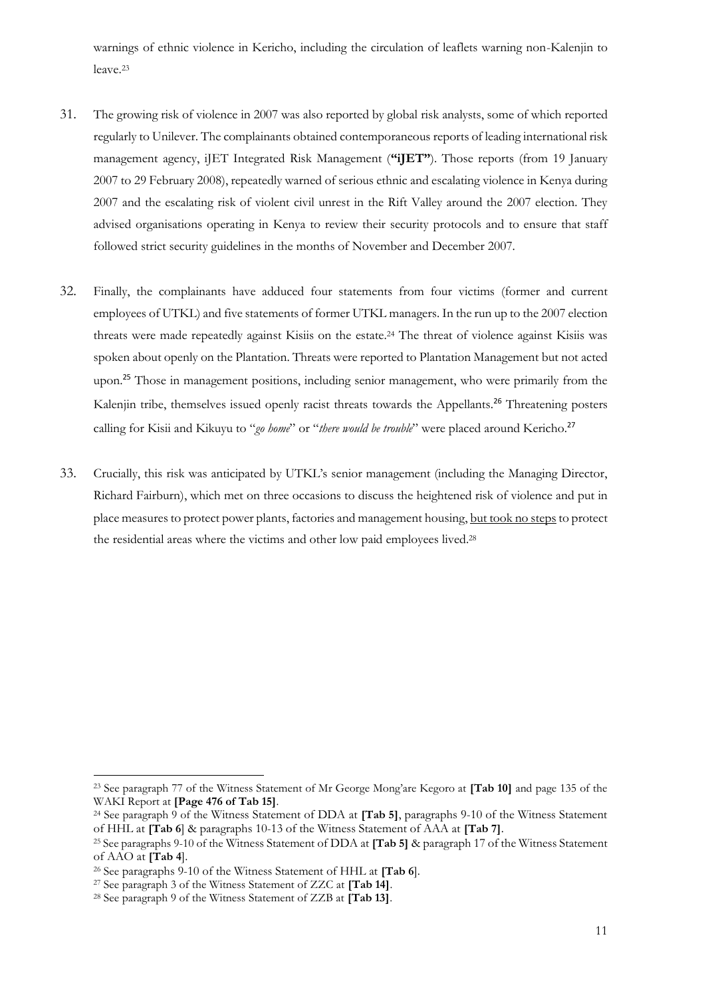warnings of ethnic violence in Kericho, including the circulation of leaflets warning non-Kalenjin to leave.<sup>23</sup>

- 31. The growing risk of violence in 2007 was also reported by global risk analysts, some of which reported regularly to Unilever. The complainants obtained contemporaneous reports of leading international risk management agency, iJET Integrated Risk Management (**"iJET"**). Those reports (from 19 January 2007 to 29 February 2008), repeatedly warned of serious ethnic and escalating violence in Kenya during 2007 and the escalating risk of violent civil unrest in the Rift Valley around the 2007 election. They advised organisations operating in Kenya to review their security protocols and to ensure that staff followed strict security guidelines in the months of November and December 2007.
- 32. Finally, the complainants have adduced four statements from four victims (former and current employees of UTKL) and five statements of former UTKL managers. In the run up to the 2007 election threats were made repeatedly against Kisiis on the estate. <sup>24</sup> The threat of violence against Kisiis was spoken about openly on the Plantation. Threats were reported to Plantation Management but not acted upon.<sup>25</sup> Those in management positions, including senior management, who were primarily from the Kalenjin tribe, themselves issued openly racist threats towards the Appellants.<sup>26</sup> Threatening posters calling for Kisii and Kikuyu to "*go home*" or "*there would be trouble*" were placed around Kericho.<sup>27</sup>
- 33. Crucially, this risk was anticipated by UTKL's senior management (including the Managing Director, Richard Fairburn), which met on three occasions to discuss the heightened risk of violence and put in place measures to protect power plants, factories and management housing, but took no steps to protect the residential areas where the victims and other low paid employees lived.<sup>28</sup>

<sup>23</sup> See paragraph 77 of the Witness Statement of Mr George Mong'are Kegoro at **[Tab 10]** and page 135 of the WAKI Report at **[Page 476 of Tab 15]**.

<sup>24</sup> See paragraph 9 of the Witness Statement of DDA at **[Tab 5]**, paragraphs 9-10 of the Witness Statement of HHL at **[Tab 6**] & paragraphs 10-13 of the Witness Statement of AAA at **[Tab 7]**.

<sup>25</sup> See paragraphs 9-10 of the Witness Statement of DDA at **[Tab 5]** & paragraph 17 of the Witness Statement of AAO at **[Tab 4**].

<sup>26</sup> See paragraphs 9-10 of the Witness Statement of HHL at **[Tab 6**].

<sup>27</sup> See paragraph 3 of the Witness Statement of ZZC at **[Tab 14]**.

<sup>28</sup> See paragraph 9 of the Witness Statement of ZZB at **[Tab 13]**.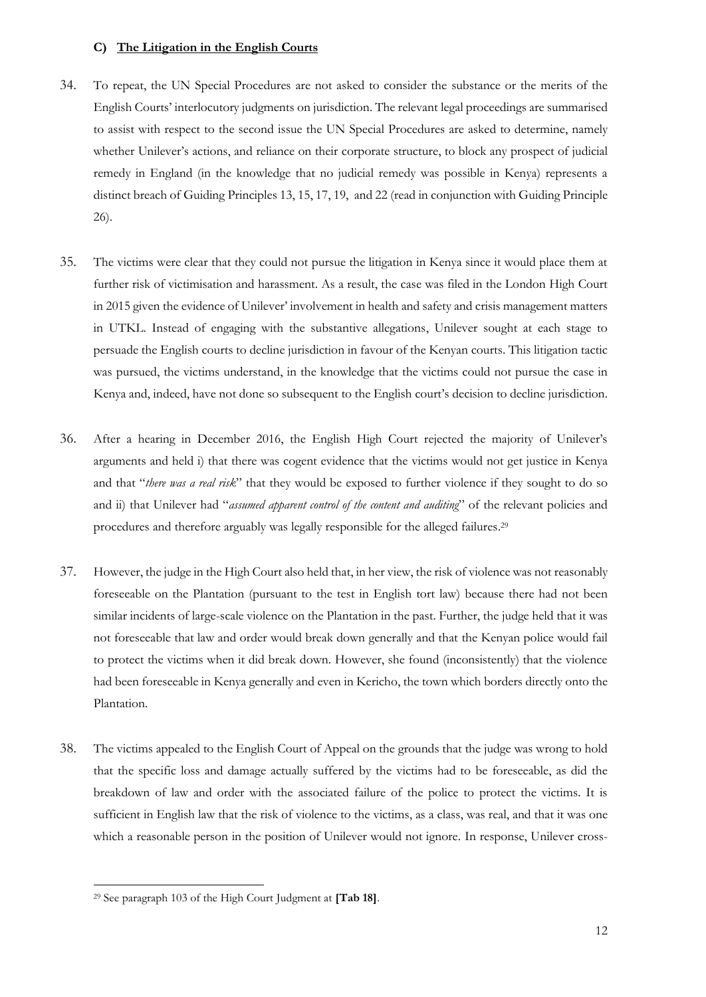#### **C) The Litigation in the English Courts**

- 34. To repeat, the UN Special Procedures are not asked to consider the substance or the merits of the English Courts' interlocutory judgments on jurisdiction. The relevant legal proceedings are summarised to assist with respect to the second issue the UN Special Procedures are asked to determine, namely whether Unilever's actions, and reliance on their corporate structure, to block any prospect of judicial remedy in England (in the knowledge that no judicial remedy was possible in Kenya) represents a distinct breach of Guiding Principles 13, 15, 17, 19, and 22 (read in conjunction with Guiding Principle 26).
- 35. The victims were clear that they could not pursue the litigation in Kenya since it would place them at further risk of victimisation and harassment. As a result, the case was filed in the London High Court in 2015 given the evidence of Unilever' involvement in health and safety and crisis management matters in UTKL. Instead of engaging with the substantive allegations, Unilever sought at each stage to persuade the English courts to decline jurisdiction in favour of the Kenyan courts. This litigation tactic was pursued, the victims understand, in the knowledge that the victims could not pursue the case in Kenya and, indeed, have not done so subsequent to the English court's decision to decline jurisdiction.
- 36. After a hearing in December 2016, the English High Court rejected the majority of Unilever's arguments and held i) that there was cogent evidence that the victims would not get justice in Kenya and that "*there was a real risk*" that they would be exposed to further violence if they sought to do so and ii) that Unilever had "*assumed apparent control of the content and auditing*" of the relevant policies and procedures and therefore arguably was legally responsible for the alleged failures. 29
- 37. However, the judge in the High Court also held that, in her view, the risk of violence was not reasonably foreseeable on the Plantation (pursuant to the test in English tort law) because there had not been similar incidents of large-scale violence on the Plantation in the past. Further, the judge held that it was not foreseeable that law and order would break down generally and that the Kenyan police would fail to protect the victims when it did break down. However, she found (inconsistently) that the violence had been foreseeable in Kenya generally and even in Kericho, the town which borders directly onto the Plantation.
- 38. The victims appealed to the English Court of Appeal on the grounds that the judge was wrong to hold that the specific loss and damage actually suffered by the victims had to be foreseeable, as did the breakdown of law and order with the associated failure of the police to protect the victims. It is sufficient in English law that the risk of violence to the victims, as a class, was real, and that it was one which a reasonable person in the position of Unilever would not ignore. In response, Unilever cross-

<sup>29</sup> See paragraph 103 of the High Court Judgment at **[Tab 18]**.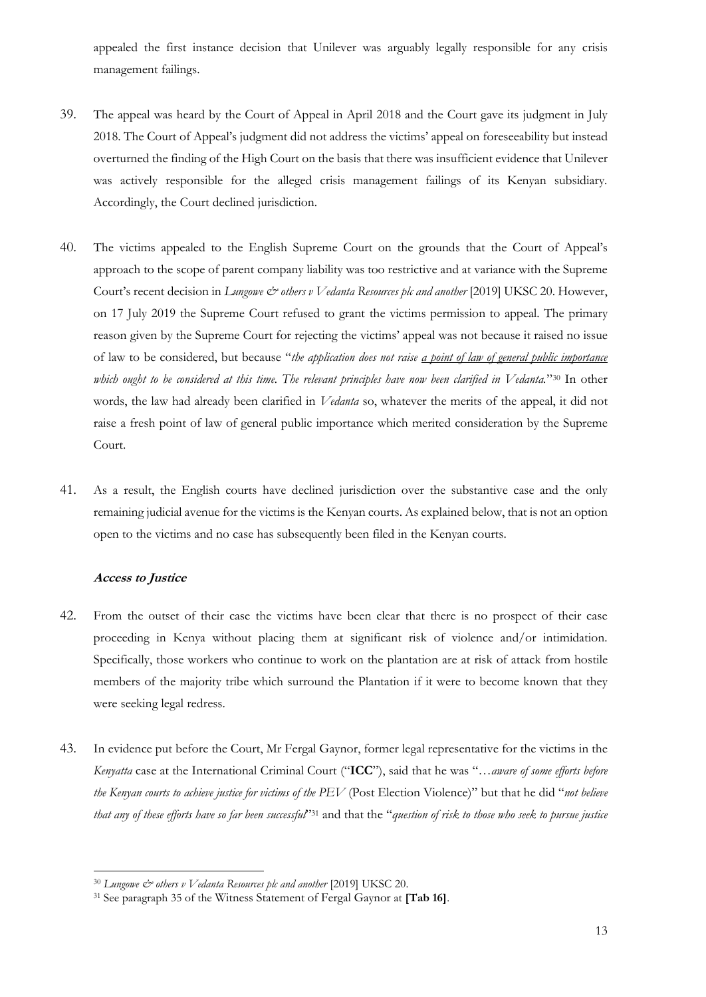appealed the first instance decision that Unilever was arguably legally responsible for any crisis management failings.

- 39. The appeal was heard by the Court of Appeal in April 2018 and the Court gave its judgment in July 2018. The Court of Appeal's judgment did not address the victims' appeal on foreseeability but instead overturned the finding of the High Court on the basis that there was insufficient evidence that Unilever was actively responsible for the alleged crisis management failings of its Kenyan subsidiary. Accordingly, the Court declined jurisdiction.
- 40. The victims appealed to the English Supreme Court on the grounds that the Court of Appeal's approach to the scope of parent company liability was too restrictive and at variance with the Supreme Court's recent decision in *Lungowe & others v Vedanta Resources plc and another* [2019] UKSC 20. However, on 17 July 2019 the Supreme Court refused to grant the victims permission to appeal. The primary reason given by the Supreme Court for rejecting the victims' appeal was not because it raised no issue of law to be considered, but because "*the application does not raise a point of law of general public importance which ought to be considered at this time. The relevant principles have now been clarified in Vedanta.*" <sup>30</sup> In other words, the law had already been clarified in *Vedanta* so, whatever the merits of the appeal, it did not raise a fresh point of law of general public importance which merited consideration by the Supreme Court.
- 41. As a result, the English courts have declined jurisdiction over the substantive case and the only remaining judicial avenue for the victims is the Kenyan courts. As explained below, that is not an option open to the victims and no case has subsequently been filed in the Kenyan courts.

## **Access to Justice**

- 42. From the outset of their case the victims have been clear that there is no prospect of their case proceeding in Kenya without placing them at significant risk of violence and/or intimidation. Specifically, those workers who continue to work on the plantation are at risk of attack from hostile members of the majority tribe which surround the Plantation if it were to become known that they were seeking legal redress.
- 43. In evidence put before the Court, Mr Fergal Gaynor, former legal representative for the victims in the *Kenyatta* case at the International Criminal Court ("**ICC**"), said that he was "…*aware of some efforts before the Kenyan courts to achieve justice for victims of the PEV* (Post Election Violence)" but that he did "*not believe that any of these efforts have so far been successful*" <sup>31</sup> and that the "*question of risk to those who seek to pursue justice*

<sup>30</sup> *Lungowe & others v Vedanta Resources plc and another* [2019] UKSC 20.

<sup>31</sup> See paragraph 35 of the Witness Statement of Fergal Gaynor at **[Tab 16]**.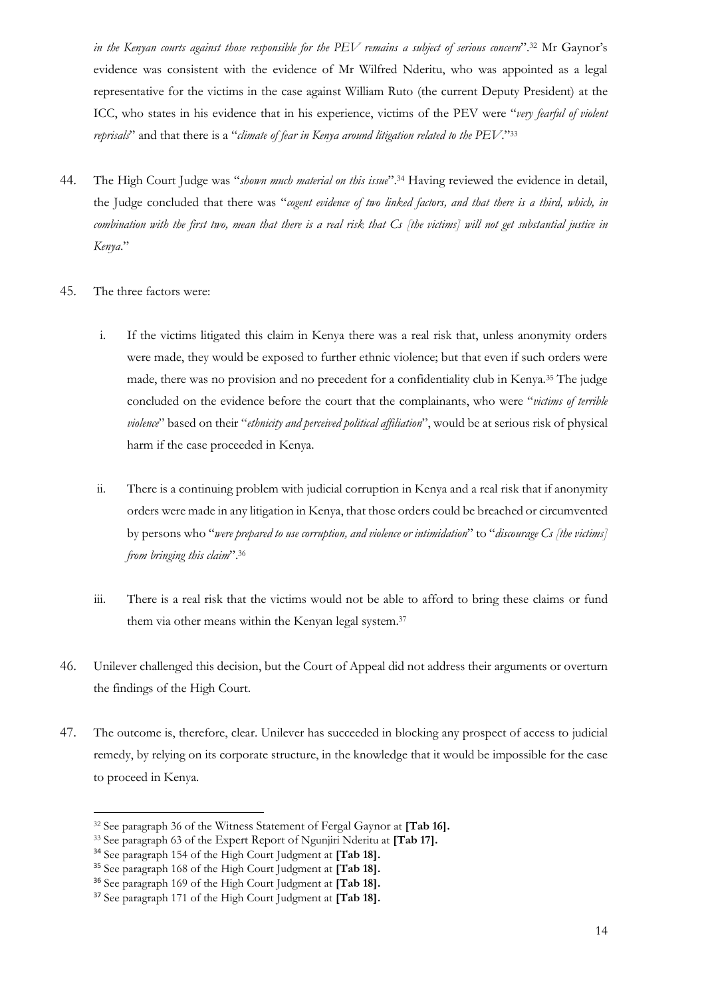*in the Kenyan courts against those responsible for the PEV remains a subject of serious concern*".<sup>32</sup> Mr Gaynor's evidence was consistent with the evidence of Mr Wilfred Nderitu, who was appointed as a legal representative for the victims in the case against William Ruto (the current Deputy President) at the ICC, who states in his evidence that in his experience, victims of the PEV were "*very fearful of violent reprisals*" and that there is a "*climate of fear in Kenya around litigation related to the PEV*."<sup>33</sup>

- 44. The High Court Judge was "*shown much material on this issue*". <sup>34</sup> Having reviewed the evidence in detail, the Judge concluded that there was "*cogent evidence of two linked factors, and that there is a third, which, in combination with the first two, mean that there is a real risk that Cs [the victims] will not get substantial justice in Kenya*."
- 45. The three factors were:
	- i. If the victims litigated this claim in Kenya there was a real risk that, unless anonymity orders were made, they would be exposed to further ethnic violence; but that even if such orders were made, there was no provision and no precedent for a confidentiality club in Kenya.<sup>35</sup> The judge concluded on the evidence before the court that the complainants, who were "*victims of terrible violence*" based on their "*ethnicity and perceived political affiliation*", would be at serious risk of physical harm if the case proceeded in Kenya.
	- ii. There is a continuing problem with judicial corruption in Kenya and a real risk that if anonymity orders were made in any litigation in Kenya, that those orders could be breached or circumvented by persons who "*were prepared to use corruption, and violence or intimidation*" to "*discourage Cs [the victims] from bringing this claim*".<sup>36</sup>
	- iii. There is a real risk that the victims would not be able to afford to bring these claims or fund them via other means within the Kenyan legal system. 37
- 46. Unilever challenged this decision, but the Court of Appeal did not address their arguments or overturn the findings of the High Court.
- 47. The outcome is, therefore, clear. Unilever has succeeded in blocking any prospect of access to judicial remedy, by relying on its corporate structure, in the knowledge that it would be impossible for the case to proceed in Kenya.

<sup>32</sup> See paragraph 36 of the Witness Statement of Fergal Gaynor at **[Tab 16].**

<sup>33</sup> See paragraph 63 of the Expert Report of Ngunjiri Nderitu at **[Tab 17].**

<sup>34</sup> See paragraph 154 of the High Court Judgment at **[Tab 18].**

<sup>35</sup> See paragraph 168 of the High Court Judgment at **[Tab 18].**

<sup>36</sup> See paragraph 169 of the High Court Judgment at **[Tab 18].**

<sup>37</sup> See paragraph 171 of the High Court Judgment at **[Tab 18].**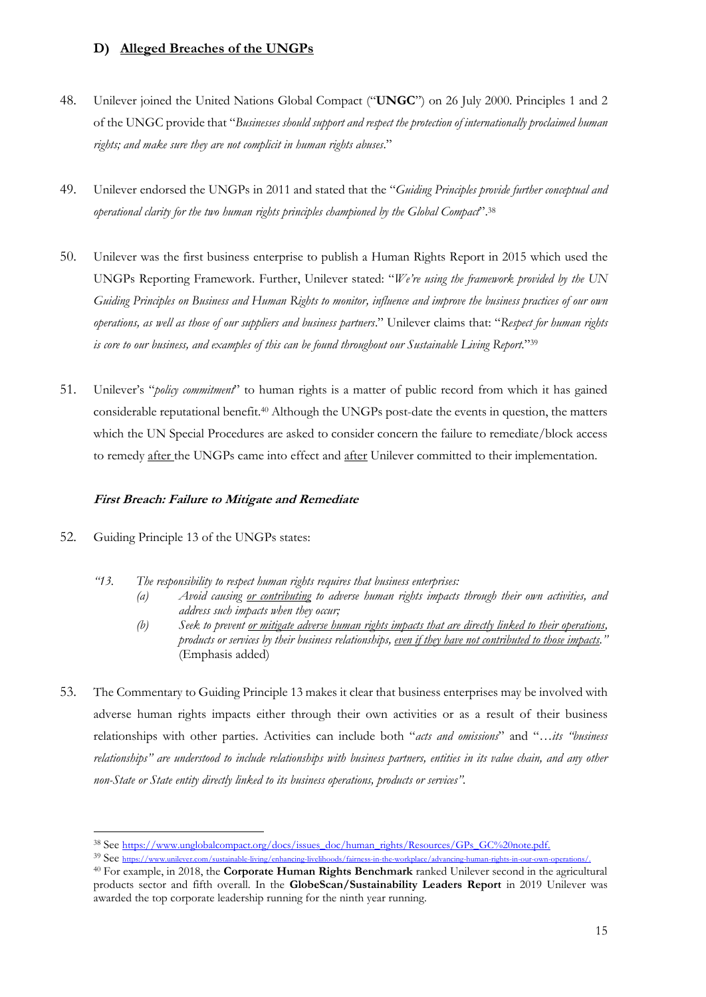# **D) Alleged Breaches of the UNGPs**

- 48. Unilever joined the United Nations Global Compact ("**UNGC**") on 26 July 2000. Principles 1 and 2 of the UNGC provide that "*Businesses should support and respect the protection of internationally proclaimed human rights; and make sure they are not complicit in human rights abuses*."
- 49. Unilever endorsed the UNGPs in 2011 and stated that the "*Guiding Principles provide further conceptual and operational clarity for the two human rights principles championed by the Global Compact*".<sup>38</sup>
- 50. Unilever was the first business enterprise to publish a Human Rights Report in 2015 which used the UNGPs Reporting Framework. Further, Unilever stated: "*We're using the framework provided by the UN Guiding Principles on Business and Human Rights to monitor, influence and improve the business practices of our own operations, as well as those of our suppliers and business partners*." Unilever claims that: "*Respect for human rights is core to our business, and examples of this can be found throughout our Sustainable Living Report*."<sup>39</sup>
- 51. Unilever's "*policy commitment*" to human rights is a matter of public record from which it has gained considerable reputational benefit.<sup>40</sup> Although the UNGPs post-date the events in question, the matters which the UN Special Procedures are asked to consider concern the failure to remediate/block access to remedy after the UNGPs came into effect and after Unilever committed to their implementation.

## **First Breach: Failure to Mitigate and Remediate**

- 52. Guiding Principle 13 of the UNGPs states:
	- *"13. The responsibility to respect human rights requires that business enterprises:* 
		- *(a) Avoid causing or contributing to adverse human rights impacts through their own activities, and address such impacts when they occur;*
		- *(b) Seek to prevent or mitigate adverse human rights impacts that are directly linked to their operations, products or services by their business relationships, even if they have not contributed to those impacts."* (Emphasis added)
- 53. The Commentary to Guiding Principle 13 makes it clear that business enterprises may be involved with adverse human rights impacts either through their own activities or as a result of their business relationships with other parties. Activities can include both "*acts and omissions*" and "…*its "business relationships" are understood to include relationships with business partners, entities in its value chain, and any other non-State or State entity directly linked to its business operations, products or services".*

<sup>38</sup> See https://www.unglobalcompact.org/docs/issues\_doc/human\_rights/Resources/GPs\_GC%20note.pdf.

<sup>39</sup> See https://www.unilever.com/sustainable-living/enhancing-livelihoods/fairness-in-the-workplace/advancing-human-rights-in-our-own-operations/.

<sup>40</sup> For example, in 2018, the **Corporate Human Rights Benchmark** ranked Unilever second in the agricultural products sector and fifth overall. In the **GlobeScan/Sustainability Leaders Report** in 2019 Unilever was awarded the top corporate leadership running for the ninth year running.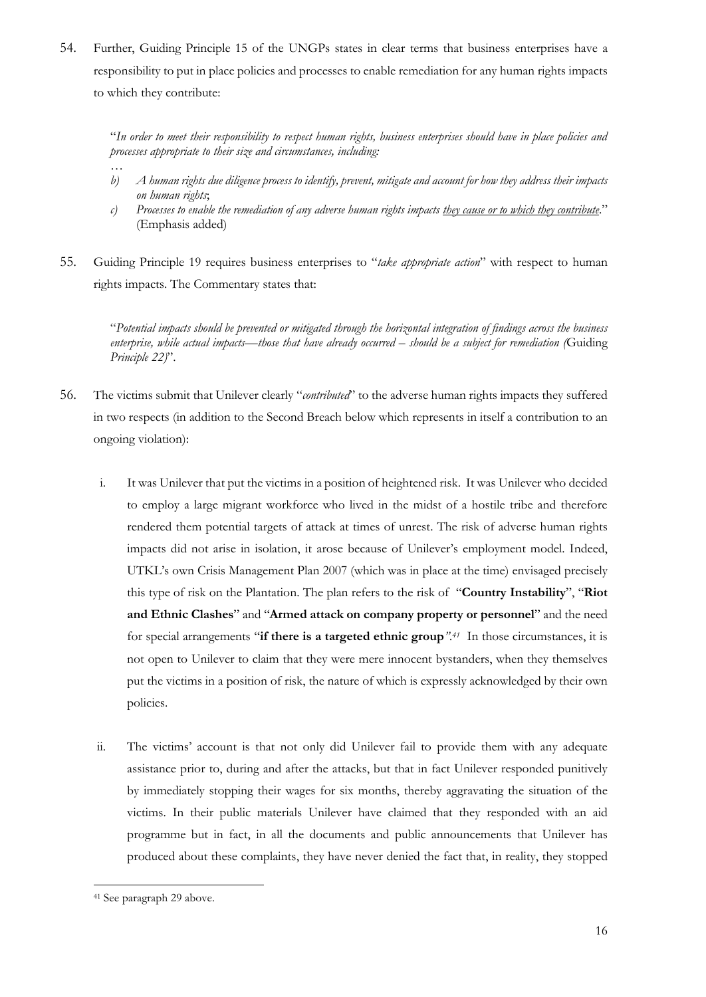54. Further, Guiding Principle 15 of the UNGPs states in clear terms that business enterprises have a responsibility to put in place policies and processes to enable remediation for any human rights impacts to which they contribute:

"*In order to meet their responsibility to respect human rights, business enterprises should have in place policies and processes appropriate to their size and circumstances, including:* 

- *b) A human rights due diligence process to identify, prevent, mitigate and account for how they address their impacts on human rights*;
- *c) Processes to enable the remediation of any adverse human rights impacts they cause or to which they contribute*." (Emphasis added)
- 55. Guiding Principle 19 requires business enterprises to "*take appropriate action*" with respect to human rights impacts. The Commentary states that:

"*Potential impacts should be prevented or mitigated through the horizontal integration of findings across the business enterprise, while actual impacts—those that have already occurred – should be a subject for remediation (*Guiding *Principle 22)*".

- 56. The victims submit that Unilever clearly "*contributed*" to the adverse human rights impacts they suffered in two respects (in addition to the Second Breach below which represents in itself a contribution to an ongoing violation):
	- i. It was Unilever that put the victims in a position of heightened risk. It was Unilever who decided to employ a large migrant workforce who lived in the midst of a hostile tribe and therefore rendered them potential targets of attack at times of unrest. The risk of adverse human rights impacts did not arise in isolation, it arose because of Unilever's employment model. Indeed, UTKL's own Crisis Management Plan 2007 (which was in place at the time) envisaged precisely this type of risk on the Plantation. The plan refers to the risk of "**Country Instability**", "**Riot and Ethnic Clashes**" and "**Armed attack on company property or personnel**" and the need for special arrangements "**if there is a targeted ethnic group***".<sup>41</sup>* In those circumstances, it is not open to Unilever to claim that they were mere innocent bystanders, when they themselves put the victims in a position of risk, the nature of which is expressly acknowledged by their own policies.
	- ii. The victims' account is that not only did Unilever fail to provide them with any adequate assistance prior to, during and after the attacks, but that in fact Unilever responded punitively by immediately stopping their wages for six months, thereby aggravating the situation of the victims. In their public materials Unilever have claimed that they responded with an aid programme but in fact, in all the documents and public announcements that Unilever has produced about these complaints, they have never denied the fact that, in reality, they stopped

*…*

<sup>41</sup> See paragraph 29 above.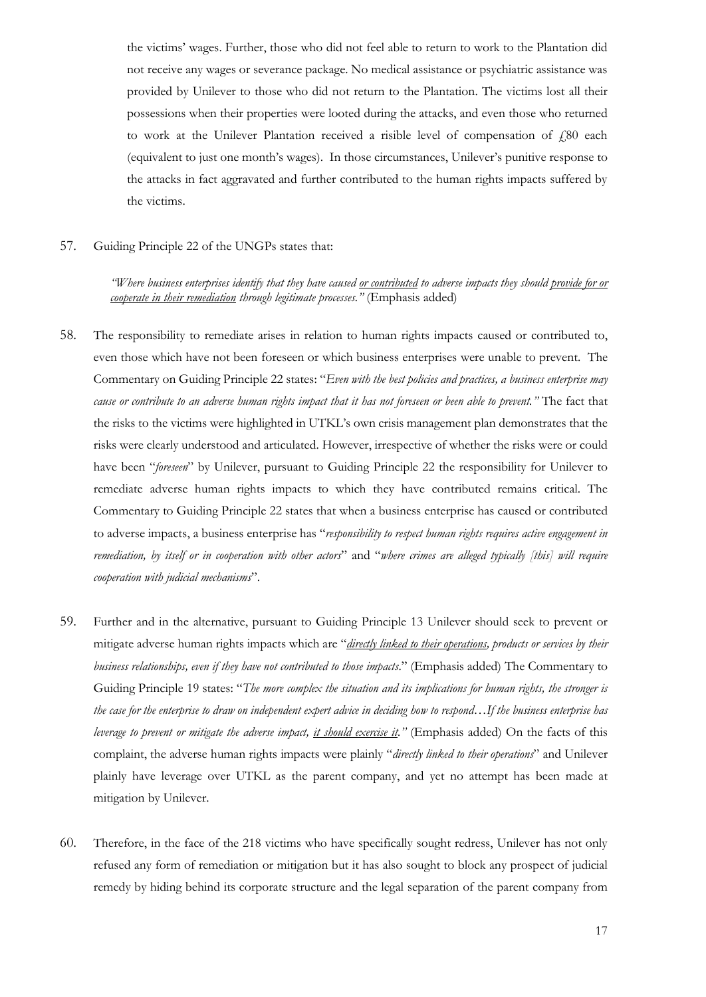the victims' wages. Further, those who did not feel able to return to work to the Plantation did not receive any wages or severance package. No medical assistance or psychiatric assistance was provided by Unilever to those who did not return to the Plantation. The victims lost all their possessions when their properties were looted during the attacks, and even those who returned to work at the Unilever Plantation received a risible level of compensation of  $\text{\emph{f}}80$  each (equivalent to just one month's wages). In those circumstances, Unilever's punitive response to the attacks in fact aggravated and further contributed to the human rights impacts suffered by the victims.

57. Guiding Principle 22 of the UNGPs states that:

*"Where business enterprises identify that they have caused or contributed to adverse impacts they should provide for or cooperate in their remediation through legitimate processes."* (Emphasis added)

- 58. The responsibility to remediate arises in relation to human rights impacts caused or contributed to, even those which have not been foreseen or which business enterprises were unable to prevent. The Commentary on Guiding Principle 22 states: "*Even with the best policies and practices, a business enterprise may cause or contribute to an adverse human rights impact that it has not foreseen or been able to prevent."* The fact that the risks to the victims were highlighted in UTKL's own crisis management plan demonstrates that the risks were clearly understood and articulated. However, irrespective of whether the risks were or could have been "*foreseen*" by Unilever, pursuant to Guiding Principle 22 the responsibility for Unilever to remediate adverse human rights impacts to which they have contributed remains critical. The Commentary to Guiding Principle 22 states that when a business enterprise has caused or contributed to adverse impacts, a business enterprise has "*responsibility to respect human rights requires active engagement in remediation, by itself or in cooperation with other actors*" and "*where crimes are alleged typically [this] will require cooperation with judicial mechanisms*".
- 59. Further and in the alternative, pursuant to Guiding Principle 13 Unilever should seek to prevent or mitigate adverse human rights impacts which are "*directly linked to their operations, products or services by their business relationships, even if they have not contributed to those impacts*." (Emphasis added) The Commentary to Guiding Principle 19 states: "*The more complex the situation and its implications for human rights, the stronger is the case for the enterprise to draw on independent expert advice in deciding how to respond…If the business enterprise has leverage to prevent or mitigate the adverse impact, it should exercise it."* (Emphasis added) On the facts of this complaint, the adverse human rights impacts were plainly "*directly linked to their operations*" and Unilever plainly have leverage over UTKL as the parent company, and yet no attempt has been made at mitigation by Unilever.
- 60. Therefore, in the face of the 218 victims who have specifically sought redress, Unilever has not only refused any form of remediation or mitigation but it has also sought to block any prospect of judicial remedy by hiding behind its corporate structure and the legal separation of the parent company from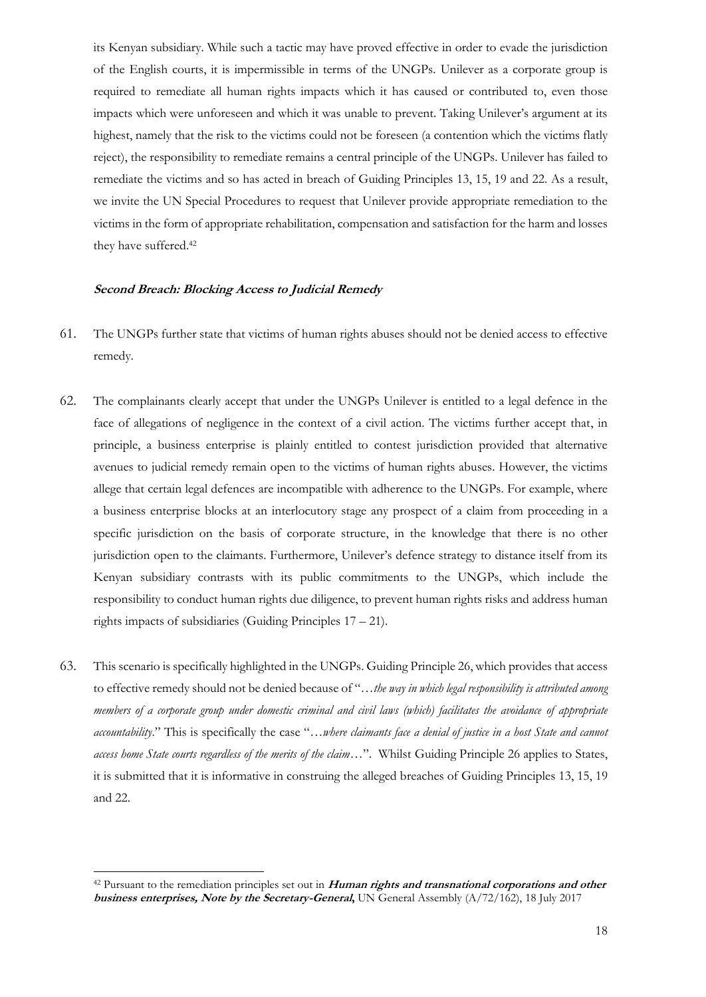its Kenyan subsidiary. While such a tactic may have proved effective in order to evade the jurisdiction of the English courts, it is impermissible in terms of the UNGPs. Unilever as a corporate group is required to remediate all human rights impacts which it has caused or contributed to, even those impacts which were unforeseen and which it was unable to prevent. Taking Unilever's argument at its highest, namely that the risk to the victims could not be foreseen (a contention which the victims flatly reject), the responsibility to remediate remains a central principle of the UNGPs. Unilever has failed to remediate the victims and so has acted in breach of Guiding Principles 13, 15, 19 and 22. As a result, we invite the UN Special Procedures to request that Unilever provide appropriate remediation to the victims in the form of appropriate rehabilitation, compensation and satisfaction for the harm and losses they have suffered. 42

#### **Second Breach: Blocking Access to Judicial Remedy**

- 61. The UNGPs further state that victims of human rights abuses should not be denied access to effective remedy.
- 62. The complainants clearly accept that under the UNGPs Unilever is entitled to a legal defence in the face of allegations of negligence in the context of a civil action. The victims further accept that, in principle, a business enterprise is plainly entitled to contest jurisdiction provided that alternative avenues to judicial remedy remain open to the victims of human rights abuses. However, the victims allege that certain legal defences are incompatible with adherence to the UNGPs. For example, where a business enterprise blocks at an interlocutory stage any prospect of a claim from proceeding in a specific jurisdiction on the basis of corporate structure, in the knowledge that there is no other jurisdiction open to the claimants. Furthermore, Unilever's defence strategy to distance itself from its Kenyan subsidiary contrasts with its public commitments to the UNGPs, which include the responsibility to conduct human rights due diligence, to prevent human rights risks and address human rights impacts of subsidiaries (Guiding Principles 17 – 21).
- 63. This scenario is specifically highlighted in the UNGPs. Guiding Principle 26, which provides that access to effective remedy should not be denied because of "…*the way in which legal responsibility is attributed among members of a corporate group under domestic criminal and civil laws (which) facilitates the avoidance of appropriate accountability*." This is specifically the case "…*where claimants face a denial of justice in a host State and cannot access home State courts regardless of the merits of the claim*…". Whilst Guiding Principle 26 applies to States, it is submitted that it is informative in construing the alleged breaches of Guiding Principles 13, 15, 19 and 22.

<sup>42</sup> Pursuant to the remediation principles set out in **Human rights and transnational corporations and other business enterprises, Note by the Secretary-General,** UN General Assembly (A/72/162), 18 July 2017